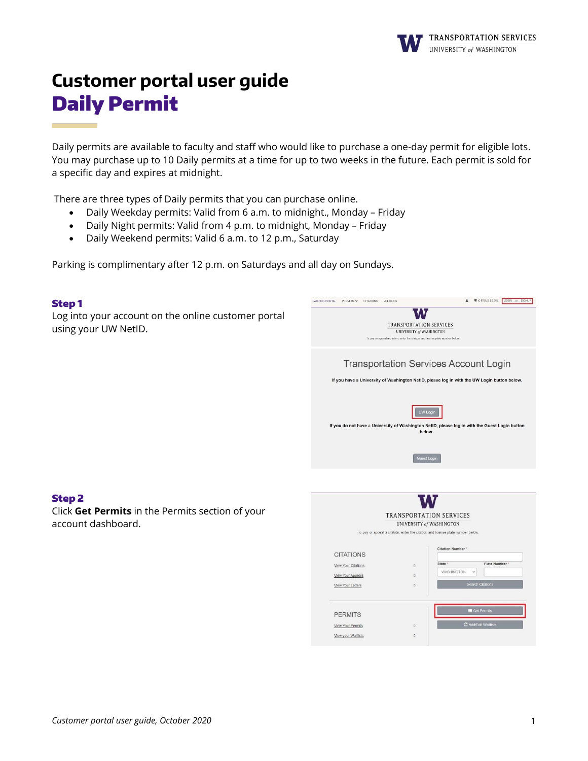

# **Customer portal user guide** Daily Permit

Daily permits are available to faculty and staff who would like to purchase a one-day permit for eligible lots. You may purchase up to 10 Daily permits at a time for up to two weeks in the future. Each permit is sold for a specific day and expires at midnight.

There are three types of Daily permits that you can purchase online.

- Daily Weekday permits: Valid from 6 a.m. to midnight., Monday Friday
- Daily Night permits: Valid from 4 p.m. to midnight, Monday Friday
- Daily Weekend permits: Valid 6 a.m. to 12 p.m., Saturday

Parking is complimentary after 12 p.m. on Saturdays and all day on Sundays.

| <b>Step1</b>                                        | W (O ITEMS \$0.00) LOGIN .pr. SIGNUP<br>PARKING PORTAL PERMITS W CITATIONS VEHICLES.                        |
|-----------------------------------------------------|-------------------------------------------------------------------------------------------------------------|
| Log into your account on the online customer portal | ٧.Y                                                                                                         |
| using your UW NetID.                                | <b>TRANSPORTATION SERVICES</b><br>UNIVERSITY of WASHINGTON                                                  |
|                                                     | To pay or appeal a citation, enter the citation and license plate number below.                             |
|                                                     | <b>Transportation Services Account Login</b>                                                                |
|                                                     | If you have a University of Washington NetID, please log in with the UW Login button below.                 |
|                                                     | UW Login                                                                                                    |
|                                                     | If you do not have a University of Washington NetID, please log in with the Guest Login button<br>below.    |
|                                                     | <b>Guest Login</b>                                                                                          |
|                                                     |                                                                                                             |
| <b>Step 2</b>                                       |                                                                                                             |
| Click Get Permits in the Permits section of your    | <b>TRANSPORTATION SERVICES</b>                                                                              |
| account dashboard.                                  | UNIVERSITY of WASHINGTON<br>To pay or appeal a citation, enter the citation and license plate number below. |
|                                                     | <b>Citation Number</b><br><b>CITATIONS</b>                                                                  |
|                                                     | Plate Number<br>State<br>View Your Citations<br>$\Omega$                                                    |
|                                                     | WASHINGTON<br>$\check{}$<br>$\circ$<br>View Your Appeals                                                    |
|                                                     | <b>Search Citations</b><br>$\circ$<br>View Your Letters                                                     |
|                                                     | <b>E</b> Get Permits<br><b>PERMITS</b>                                                                      |
|                                                     | C Add/Edit Waitlists<br>View Your Permits<br>$\mathbb{O}$                                                   |
|                                                     |                                                                                                             |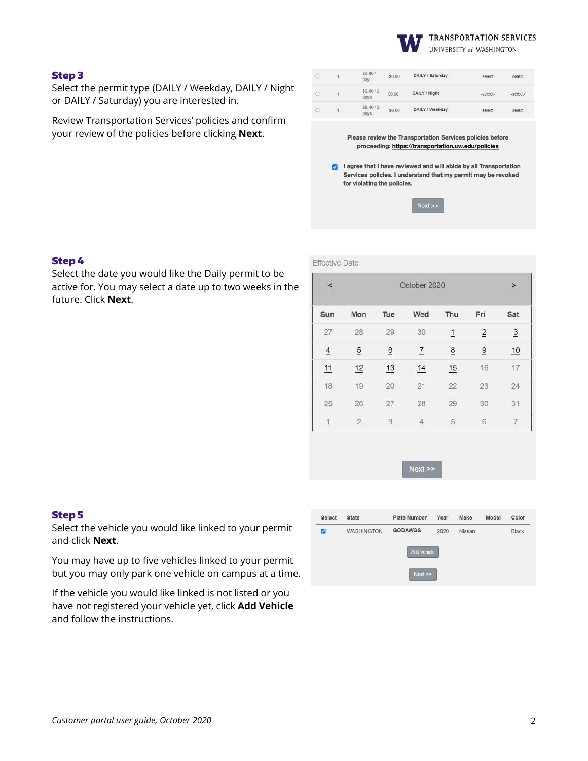

## Step 3

Select the permit type (DAILY / Weekday, DAILY / Night or DAILY / Saturday) you are interested in.

Review Transportation Services' policies and confirm your review of the policies before clicking **Next**.

|  | \$2.80/<br>day   | \$0.00 | DAILY / Saturday | -select- | -select- |
|--|------------------|--------|------------------|----------|----------|
|  | \$2.80/2<br>days | \$0.00 | DAILY / Night    | -select- | -select- |
|  | \$8.40/2<br>days | \$0.00 | DAILY / Weekday  | -select- | -select- |

Please review the Transportation Services policies before proceeding: https://transportation.uw.edu/policies

a lagree that I have reviewed and will abide by all Transportation Services policies. I understand that my permit may be revoked for violating the policies.

| ext |
|-----|
|     |

Effective Date

## Step 4

Select the date you would like the Daily permit to be active for. You may select a date up to two weeks in the future. Click **Next**.

| $\leq$         | October 2020   |                 |                |               |                | $\geq$         |
|----------------|----------------|-----------------|----------------|---------------|----------------|----------------|
| Sun            | Mon            | Tue             | Wed            | Thu           | Fri            | Sat            |
| 27             | 28             | 29              | 30             | $\mathbf{1}$  | $\overline{2}$ | $\overline{3}$ |
| $\overline{4}$ | $\overline{5}$ | $\underline{6}$ | $\overline{1}$ | $\frac{8}{1}$ | $\overline{9}$ | 10             |
| 11             | 12             | 13              | 14             | 15            | 16             | 17             |
| 18             | 19             | 20              | 21             | 22            | 23             | 24             |
| 25             | 26             | 27              | 28             | 29            | 30             | 31             |
| 1              | $\overline{2}$ | 3               | $\overline{4}$ | 5             | 6              | 7              |



#### Step 5

Select the vehicle you would like linked to your permit and click **Next**.

You may have up to five vehicles linked to your permit but you may only park one vehicle on campus at a time.

If the vehicle you would like linked is not listed or you have not registered your vehicle yet, click **Add Vehicle** and follow the instructions.

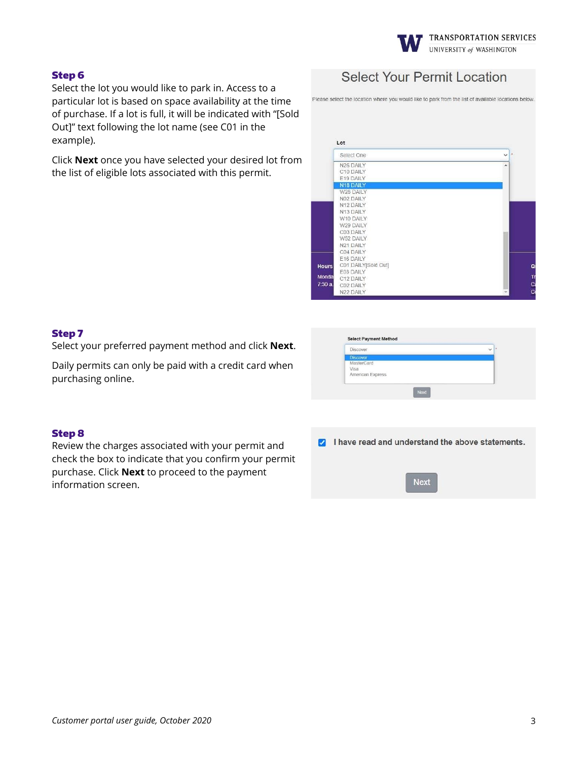

# Step 6

Select the lot you would like to park in. Access to a particular lot is based on space availability at the time of purchase. If a lot is full, it will be indicated with "[Sold Out]" text following the lot name (see C01 in the example).

Click **Next** once you have selected your desired lot from the list of eligible lots associated with this permit.

# **Select Your Permit Location**

Please select the location where you would like to park from the list of available locations below

| Select One                          | $\checkmark$ |
|-------------------------------------|--------------|
| N26 DAILY                           | ۸            |
| C10 DAILY                           |              |
| E19 DAILY                           |              |
| N18 DAILY                           |              |
| W28 DAILY                           |              |
| N02 DAILY                           |              |
| N12 DAILY                           |              |
| N13 DAILY                           |              |
| W10 DAILY                           |              |
| W29 DAILY                           |              |
| C03 DAILY                           |              |
| W52 DAILY                           |              |
| N21 DAILY                           |              |
| C04 DAILY                           |              |
| E16 DAILY                           |              |
| C01 DAILY[Sold Out]<br><b>Hours</b> |              |
| E03 DAILY<br>Monda                  |              |
| C12 DAILY                           |              |
| 7:30a<br>C02 DAILY                  |              |
| N22 DAILY                           |              |

# Step 7

Select your preferred payment method and click **Next**.

Daily permits can only be paid with a credit card when purchasing online.

| <b>Discover</b>  | ×<br>$\checkmark$ |
|------------------|-------------------|
| <b>Discover</b>  |                   |
| MasterCard       |                   |
| Visa             |                   |
| American Express |                   |

# Step 8

Review the charges associated with your permit and check the box to indicate that you confirm your permit purchase. Click **Next** to proceed to the payment information screen.

| И |  |  |  | I have read and understand the above statements |  |  |  |
|---|--|--|--|-------------------------------------------------|--|--|--|
|---|--|--|--|-------------------------------------------------|--|--|--|

**Next**